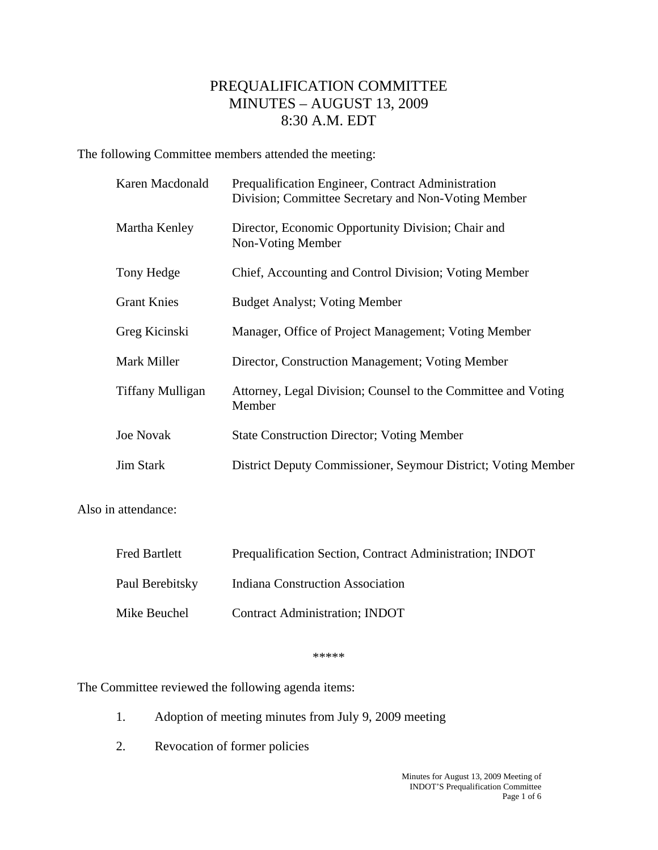## PREQUALIFICATION COMMITTEE MINUTES – AUGUST 13, 2009 8:30 A.M. EDT

The following Committee members attended the meeting:

| Karen Macdonald    | Prequalification Engineer, Contract Administration<br>Division; Committee Secretary and Non-Voting Member |
|--------------------|-----------------------------------------------------------------------------------------------------------|
| Martha Kenley      | Director, Economic Opportunity Division; Chair and<br>Non-Voting Member                                   |
| Tony Hedge         | Chief, Accounting and Control Division; Voting Member                                                     |
| <b>Grant Knies</b> | <b>Budget Analyst; Voting Member</b>                                                                      |
| Greg Kicinski      | Manager, Office of Project Management; Voting Member                                                      |
| Mark Miller        | Director, Construction Management; Voting Member                                                          |
| Tiffany Mulligan   | Attorney, Legal Division; Counsel to the Committee and Voting<br>Member                                   |
| <b>Joe Novak</b>   | <b>State Construction Director; Voting Member</b>                                                         |
| <b>Jim Stark</b>   | District Deputy Commissioner, Seymour District; Voting Member                                             |
|                    |                                                                                                           |

Also in attendance:

| <b>Fred Bartlett</b> | Prequalification Section, Contract Administration; INDOT |
|----------------------|----------------------------------------------------------|
| Paul Berebitsky      | <b>Indiana Construction Association</b>                  |
| Mike Beuchel         | <b>Contract Administration; INDOT</b>                    |

\*\*\*\*\*

The Committee reviewed the following agenda items:

- 1. Adoption of meeting minutes from July 9, 2009 meeting
- 2. Revocation of former policies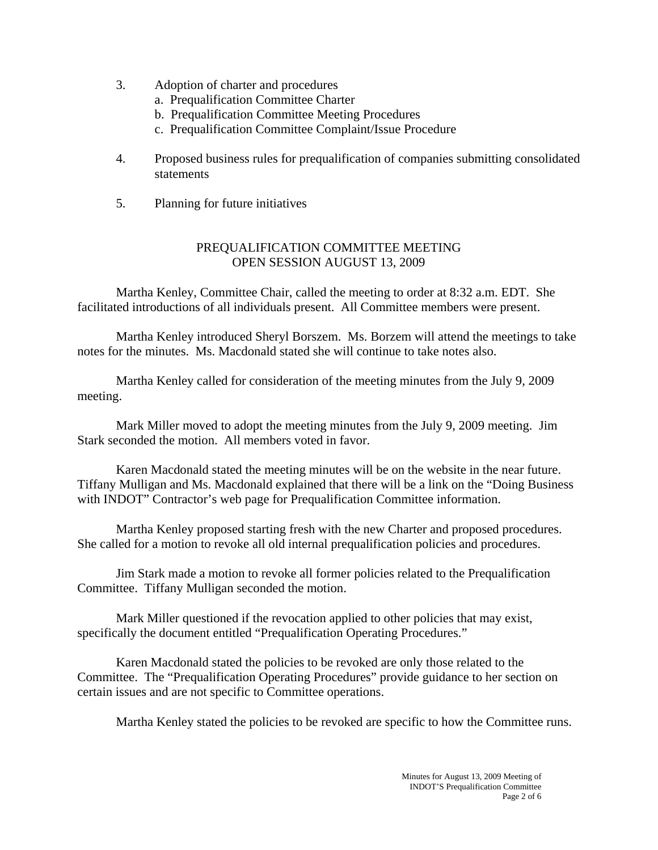- 3. Adoption of charter and procedures
	- a. Prequalification Committee Charter
	- b. Prequalification Committee Meeting Procedures
	- c. Prequalification Committee Complaint/Issue Procedure
- 4. Proposed business rules for prequalification of companies submitting consolidated statements
- 5. Planning for future initiatives

## PREQUALIFICATION COMMITTEE MEETING OPEN SESSION AUGUST 13, 2009

 Martha Kenley, Committee Chair, called the meeting to order at 8:32 a.m. EDT. She facilitated introductions of all individuals present. All Committee members were present.

 Martha Kenley introduced Sheryl Borszem. Ms. Borzem will attend the meetings to take notes for the minutes. Ms. Macdonald stated she will continue to take notes also.

Martha Kenley called for consideration of the meeting minutes from the July 9, 2009 meeting.

 Mark Miller moved to adopt the meeting minutes from the July 9, 2009 meeting. Jim Stark seconded the motion. All members voted in favor.

 Karen Macdonald stated the meeting minutes will be on the website in the near future. Tiffany Mulligan and Ms. Macdonald explained that there will be a link on the "Doing Business with INDOT" Contractor's web page for Prequalification Committee information.

Martha Kenley proposed starting fresh with the new Charter and proposed procedures. She called for a motion to revoke all old internal prequalification policies and procedures.

 Jim Stark made a motion to revoke all former policies related to the Prequalification Committee. Tiffany Mulligan seconded the motion.

 Mark Miller questioned if the revocation applied to other policies that may exist, specifically the document entitled "Prequalification Operating Procedures."

 Karen Macdonald stated the policies to be revoked are only those related to the Committee. The "Prequalification Operating Procedures" provide guidance to her section on certain issues and are not specific to Committee operations.

Martha Kenley stated the policies to be revoked are specific to how the Committee runs.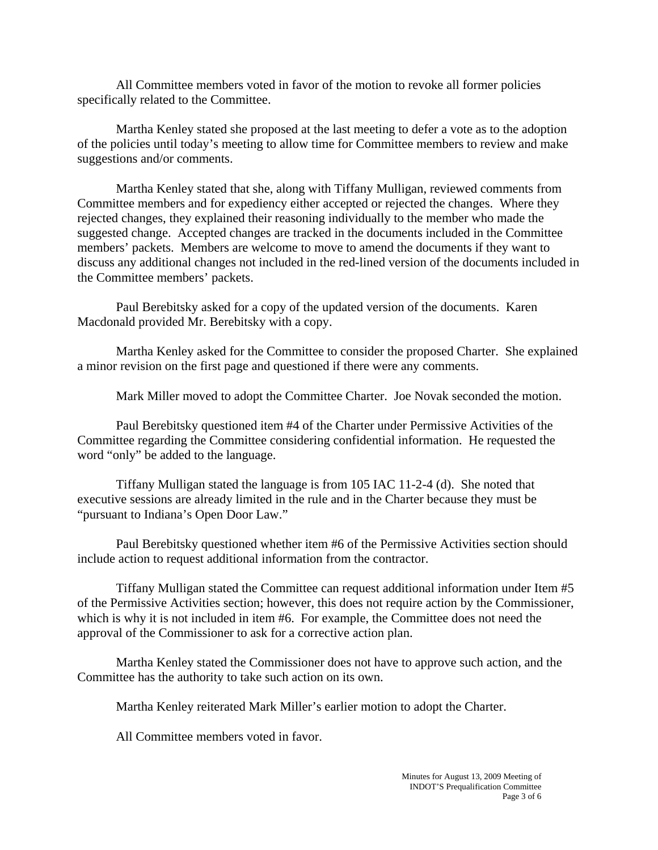All Committee members voted in favor of the motion to revoke all former policies specifically related to the Committee.

 Martha Kenley stated she proposed at the last meeting to defer a vote as to the adoption of the policies until today's meeting to allow time for Committee members to review and make suggestions and/or comments.

 Martha Kenley stated that she, along with Tiffany Mulligan, reviewed comments from Committee members and for expediency either accepted or rejected the changes. Where they rejected changes, they explained their reasoning individually to the member who made the suggested change. Accepted changes are tracked in the documents included in the Committee members' packets. Members are welcome to move to amend the documents if they want to discuss any additional changes not included in the red-lined version of the documents included in the Committee members' packets.

 Paul Berebitsky asked for a copy of the updated version of the documents. Karen Macdonald provided Mr. Berebitsky with a copy.

 Martha Kenley asked for the Committee to consider the proposed Charter. She explained a minor revision on the first page and questioned if there were any comments.

Mark Miller moved to adopt the Committee Charter. Joe Novak seconded the motion.

 Paul Berebitsky questioned item #4 of the Charter under Permissive Activities of the Committee regarding the Committee considering confidential information. He requested the word "only" be added to the language.

 Tiffany Mulligan stated the language is from 105 IAC 11-2-4 (d). She noted that executive sessions are already limited in the rule and in the Charter because they must be "pursuant to Indiana's Open Door Law."

 Paul Berebitsky questioned whether item #6 of the Permissive Activities section should include action to request additional information from the contractor.

 Tiffany Mulligan stated the Committee can request additional information under Item #5 of the Permissive Activities section; however, this does not require action by the Commissioner, which is why it is not included in item #6. For example, the Committee does not need the approval of the Commissioner to ask for a corrective action plan.

 Martha Kenley stated the Commissioner does not have to approve such action, and the Committee has the authority to take such action on its own.

Martha Kenley reiterated Mark Miller's earlier motion to adopt the Charter.

All Committee members voted in favor.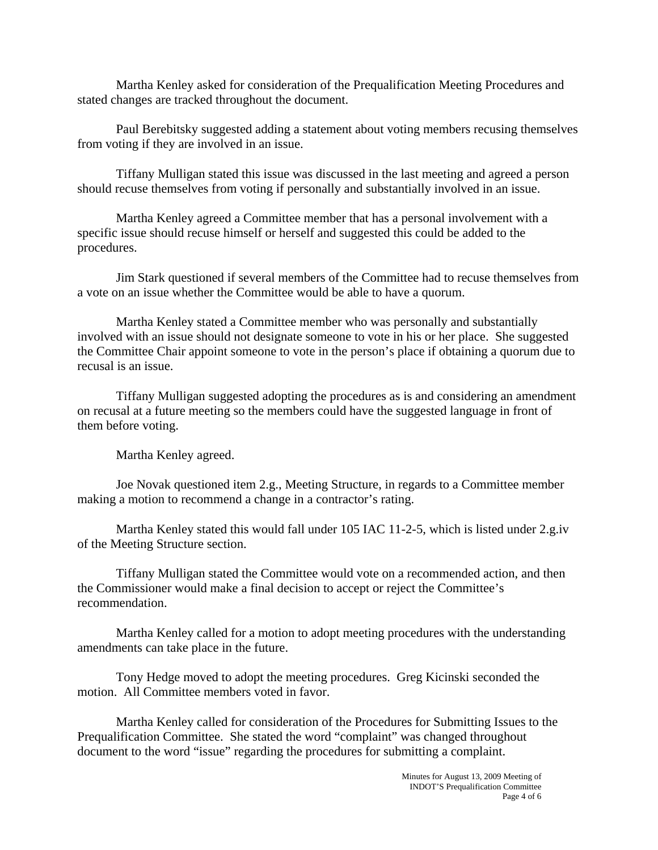Martha Kenley asked for consideration of the Prequalification Meeting Procedures and stated changes are tracked throughout the document.

 Paul Berebitsky suggested adding a statement about voting members recusing themselves from voting if they are involved in an issue.

 Tiffany Mulligan stated this issue was discussed in the last meeting and agreed a person should recuse themselves from voting if personally and substantially involved in an issue.

 Martha Kenley agreed a Committee member that has a personal involvement with a specific issue should recuse himself or herself and suggested this could be added to the procedures.

 Jim Stark questioned if several members of the Committee had to recuse themselves from a vote on an issue whether the Committee would be able to have a quorum.

 Martha Kenley stated a Committee member who was personally and substantially involved with an issue should not designate someone to vote in his or her place. She suggested the Committee Chair appoint someone to vote in the person's place if obtaining a quorum due to recusal is an issue.

 Tiffany Mulligan suggested adopting the procedures as is and considering an amendment on recusal at a future meeting so the members could have the suggested language in front of them before voting.

Martha Kenley agreed.

 Joe Novak questioned item 2.g., Meeting Structure, in regards to a Committee member making a motion to recommend a change in a contractor's rating.

 Martha Kenley stated this would fall under 105 IAC 11-2-5, which is listed under 2.g.iv of the Meeting Structure section.

 Tiffany Mulligan stated the Committee would vote on a recommended action, and then the Commissioner would make a final decision to accept or reject the Committee's recommendation.

 Martha Kenley called for a motion to adopt meeting procedures with the understanding amendments can take place in the future.

 Tony Hedge moved to adopt the meeting procedures. Greg Kicinski seconded the motion. All Committee members voted in favor.

 Martha Kenley called for consideration of the Procedures for Submitting Issues to the Prequalification Committee. She stated the word "complaint" was changed throughout document to the word "issue" regarding the procedures for submitting a complaint.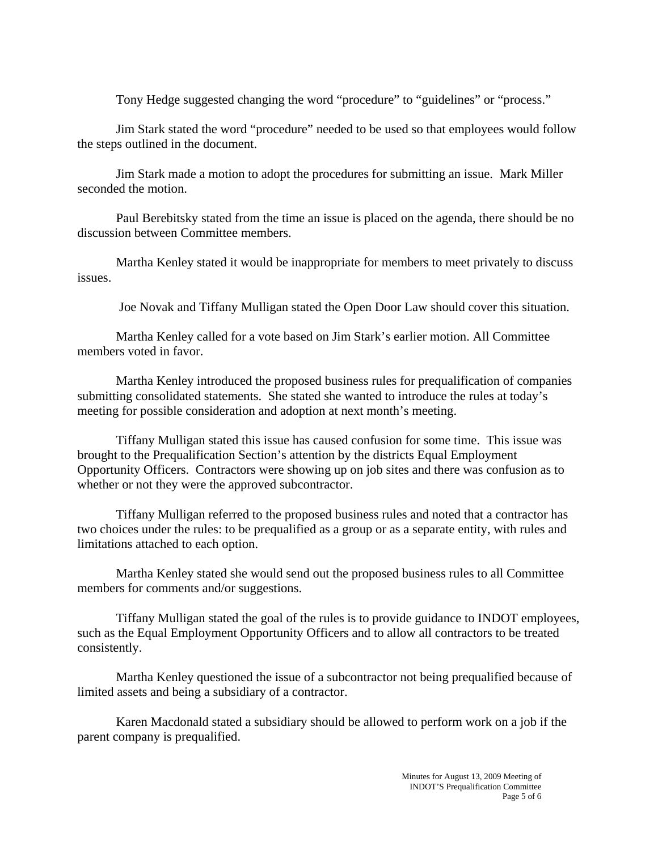Tony Hedge suggested changing the word "procedure" to "guidelines" or "process."

 Jim Stark stated the word "procedure" needed to be used so that employees would follow the steps outlined in the document.

 Jim Stark made a motion to adopt the procedures for submitting an issue. Mark Miller seconded the motion.

 Paul Berebitsky stated from the time an issue is placed on the agenda, there should be no discussion between Committee members.

 Martha Kenley stated it would be inappropriate for members to meet privately to discuss issues.

Joe Novak and Tiffany Mulligan stated the Open Door Law should cover this situation.

 Martha Kenley called for a vote based on Jim Stark's earlier motion. All Committee members voted in favor.

 Martha Kenley introduced the proposed business rules for prequalification of companies submitting consolidated statements. She stated she wanted to introduce the rules at today's meeting for possible consideration and adoption at next month's meeting.

 Tiffany Mulligan stated this issue has caused confusion for some time. This issue was brought to the Prequalification Section's attention by the districts Equal Employment Opportunity Officers. Contractors were showing up on job sites and there was confusion as to whether or not they were the approved subcontractor.

 Tiffany Mulligan referred to the proposed business rules and noted that a contractor has two choices under the rules: to be prequalified as a group or as a separate entity, with rules and limitations attached to each option.

 Martha Kenley stated she would send out the proposed business rules to all Committee members for comments and/or suggestions.

 Tiffany Mulligan stated the goal of the rules is to provide guidance to INDOT employees, such as the Equal Employment Opportunity Officers and to allow all contractors to be treated consistently.

 Martha Kenley questioned the issue of a subcontractor not being prequalified because of limited assets and being a subsidiary of a contractor.

 Karen Macdonald stated a subsidiary should be allowed to perform work on a job if the parent company is prequalified.